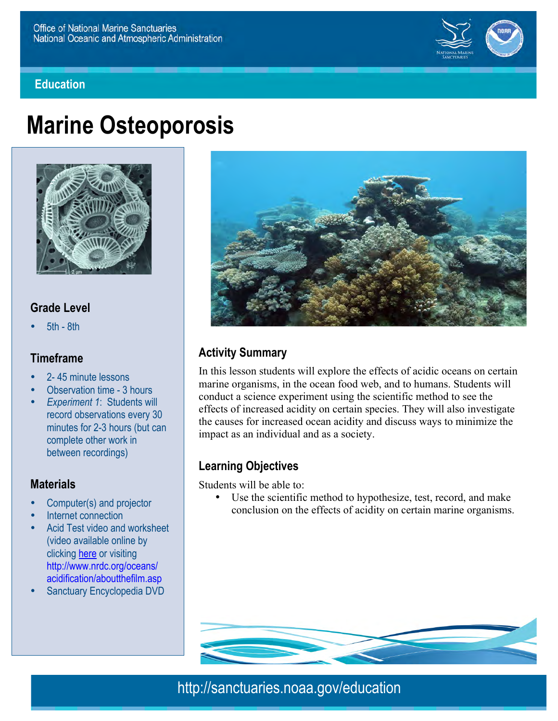

#### **Education**

# **Marine Osteoporosis**



# **Grade Level**

• 5th - 8th

#### **Timeframe**

- 2- 45 minute lessons
- Observation time 3 hours
- *Experiment 1*: Students will record observations every 30 minutes for 2-3 hours (but can complete other work in between recordings)

#### **Materials**

- Computer(s) and projector
- Internet connection
- Acid Test video and worksheet (video available online by clicking here or visiting http://www.nrdc.org/oceans/ acidification/aboutthefilm.asp
- Sanctuary Encyclopedia DVD



# **Activity Summary**

In this lesson students will explore the effects of acidic oceans on certain marine organisms, in the ocean food web, and to humans. Students will conduct a science experiment using the scientific method to see the effects of increased acidity on certain species. They will also investigate the causes for increased ocean acidity and discuss ways to minimize the impact as an individual and as a society.

### **Learning Objectives**

Students will be able to:

Use the scientific method to hypothesize, test, record, and make conclusion on the effects of acidity on certain marine organisms.



http://sanctuaries.noaa.gov/education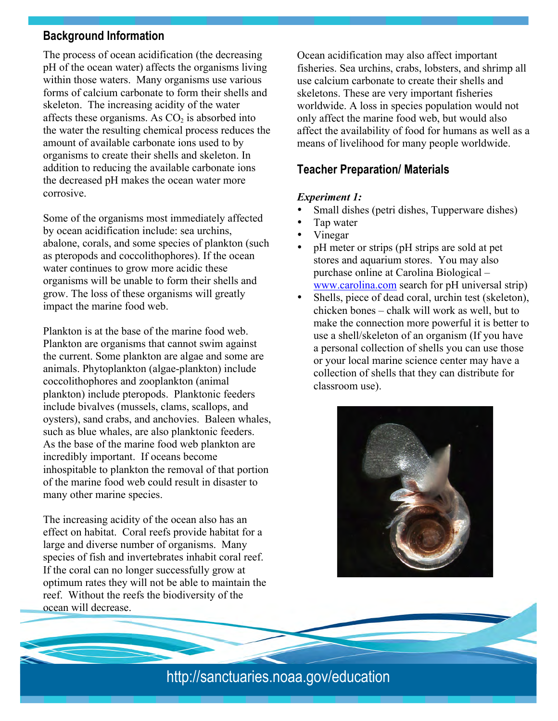### **Background Information**

The process of ocean acidification (the decreasing pH of the ocean water) affects the organisms living within those waters. Many organisms use various forms of calcium carbonate to form their shells and skeleton. The increasing acidity of the water affects these organisms. As  $CO<sub>2</sub>$  is absorbed into the water the resulting chemical process reduces the amount of available carbonate ions used to by organisms to create their shells and skeleton. In addition to reducing the available carbonate ions the decreased pH makes the ocean water more corrosive.

Some of the organisms most immediately affected by ocean acidification include: sea urchins, abalone, corals, and some species of plankton (such as pteropods and coccolithophores). If the ocean water continues to grow more acidic these organisms will be unable to form their shells and grow. The loss of these organisms will greatly impact the marine food web.

Plankton is at the base of the marine food web. Plankton are organisms that cannot swim against the current. Some plankton are algae and some are animals. Phytoplankton (algae-plankton) include coccolithophores and zooplankton (animal plankton) include pteropods. Planktonic feeders include bivalves (mussels, clams, scallops, and oysters), sand crabs, and anchovies. Baleen whales, such as blue whales, are also planktonic feeders. As the base of the marine food web plankton are incredibly important. If oceans become inhospitable to plankton the removal of that portion of the marine food web could result in disaster to many other marine species.

The increasing acidity of the ocean also has an effect on habitat. Coral reefs provide habitat for a large and diverse number of organisms. Many species of fish and invertebrates inhabit coral reef. If the coral can no longer successfully grow at optimum rates they will not be able to maintain the reef. Without the reefs the biodiversity of the ocean will decrease.

Ocean acidification may also affect important fisheries. Sea urchins, crabs, lobsters, and shrimp all use calcium carbonate to create their shells and skeletons. These are very important fisheries worldwide. A loss in species population would not only affect the marine food web, but would also affect the availability of food for humans as well as a means of livelihood for many people worldwide.

# **Teacher Preparation/ Materials**

#### *Experiment 1:*

- Small dishes (petri dishes, Tupperware dishes)
- Tap water
- Vinegar
- pH meter or strips (pH strips are sold at pet stores and aquarium stores. You may also purchase online at Carolina Biological – www.carolina.com search for pH universal strip)
- Shells, piece of dead coral, urchin test (skeleton), chicken bones – chalk will work as well, but to make the connection more powerful it is better to use a shell/skeleton of an organism (If you have a personal collection of shells you can use those or your local marine science center may have a collection of shells that they can distribute for classroom use).



# http://sanctuaries.noaa.gov/education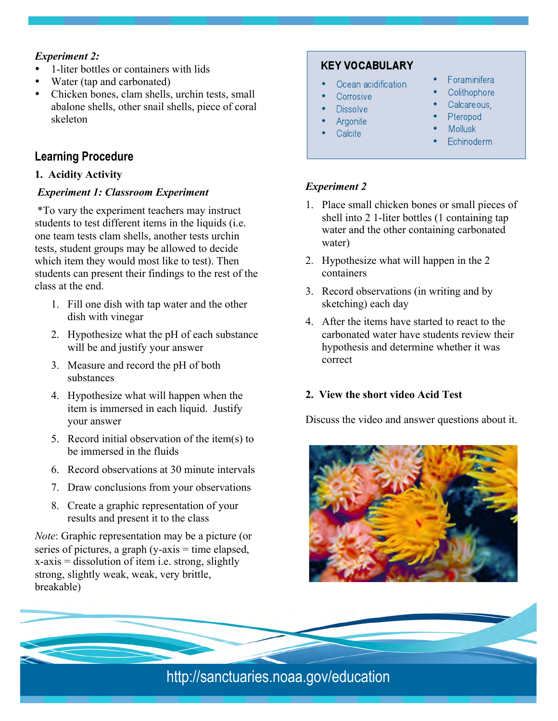#### *Experiment 2:*

- 1-liter bottles or containers with lids
- Water (tap and carbonated)
- Chicken bones, clam shells, urchin tests, small abalone shells, other snail shells, piece of coral skeleton

# **Learning Procedure**

#### **1. Acidity Activity**

#### *Experiment 1: Classroom Experiment*

 \*To vary the experiment teachers may instruct students to test different items in the liquids (i.e. one team tests clam shells, another tests urchin tests, student groups may be allowed to decide which item they would most like to test). Then students can present their findings to the rest of the class at the end.

- 1. Fill one dish with tap water and the other dish with vinegar
- 2. Hypothesize what the pH of each substance will be and justify your answer
- 3. Measure and record the pH of both substances
- 4. Hypothesize what will happen when the item is immersed in each liquid. Justify your answer
- 5. Record initial observation of the item(s) to be immersed in the fluids
- 6. Record observations at 30 minute intervals
- 7. Draw conclusions from your observations
- 8. Create a graphic representation of your results and present it to the class

*Note*: Graphic representation may be a picture (or series of pictures, a graph  $(y-axis = time elapsed,$  $x-axis =$  dissolution of item i.e. strong, slightly strong, slightly weak, weak, very brittle, breakable)

# **KEY VOCABULARY**

- Ocean acidification
- Corrosive
- **Dissolve**
- Argonite
- Calcite
- Foraminifera
- Colithophore
- Calcareous,
- Pteropod
- **Mollusk**
- Echinoderm

#### *Experiment 2*

- 1. Place small chicken bones or small pieces of shell into 2 1-liter bottles (1 containing tap water and the other containing carbonated water)
- 2. Hypothesize what will happen in the 2 containers
- 3. Record observations (in writing and by sketching) each day
- 4. After the items have started to react to the carbonated water have students review their hypothesis and determine whether it was correct

### **2. View the short video Acid Test**

Discuss the video and answer questions about it.



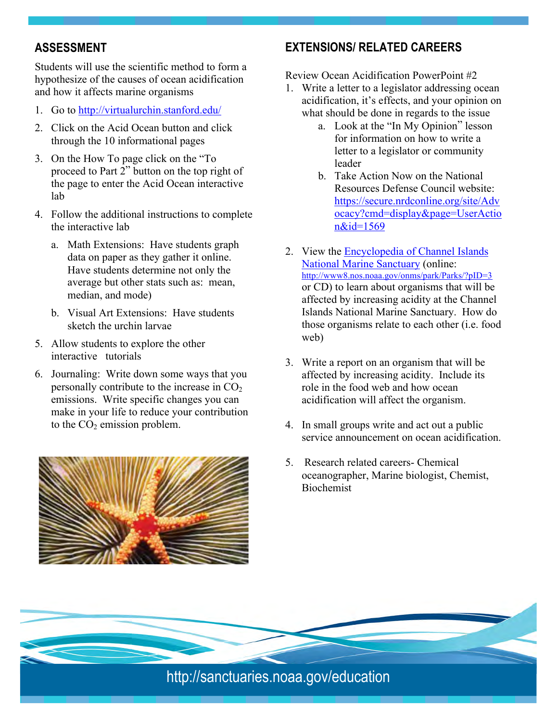# **ASSESSMENT**

Students will use the scientific method to form a hypothesize of the causes of ocean acidification and how it affects marine organisms

- 1. Go to http://virtualurchin.stanford.edu/
- 2. Click on the Acid Ocean button and click through the 10 informational pages
- 3. On the How To page click on the "To proceed to Part 2" button on the top right of the page to enter the Acid Ocean interactive lab
- 4. Follow the additional instructions to complete the interactive lab
	- a. Math Extensions: Have students graph data on paper as they gather it online. Have students determine not only the average but other stats such as: mean, median, and mode)
	- b. Visual Art Extensions: Have students sketch the urchin larvae
- 5. Allow students to explore the other interactive tutorials
- 6. Journaling: Write down some ways that you personally contribute to the increase in  $CO<sub>2</sub>$ emissions. Write specific changes you can make in your life to reduce your contribution to the  $CO<sub>2</sub>$  emission problem.



# **EXTENSIONS/ RELATED CAREERS**

Review Ocean Acidification PowerPoint #2

- 1. Write a letter to a legislator addressing ocean acidification, it's effects, and your opinion on what should be done in regards to the issue
	- a. Look at the "In My Opinion" lesson for information on how to write a letter to a legislator or community leader
	- b. Take Action Now on the National Resources Defense Council website: https://secure.nrdconline.org/site/Adv ocacy?cmd=display&page=UserActio n&id=1569
- 2. View the Encyclopedia of Channel Islands National Marine Sanctuary (online: http://www8.nos.noaa.gov/onms/park/Parks/?pID=3 or CD) to learn about organisms that will be affected by increasing acidity at the Channel Islands National Marine Sanctuary. How do those organisms relate to each other (i.e. food web)
- 3. Write a report on an organism that will be affected by increasing acidity. Include its role in the food web and how ocean acidification will affect the organism.
- 4. In small groups write and act out a public service announcement on ocean acidification.
- 5. Research related careers- Chemical oceanographer, Marine biologist, Chemist, Biochemist

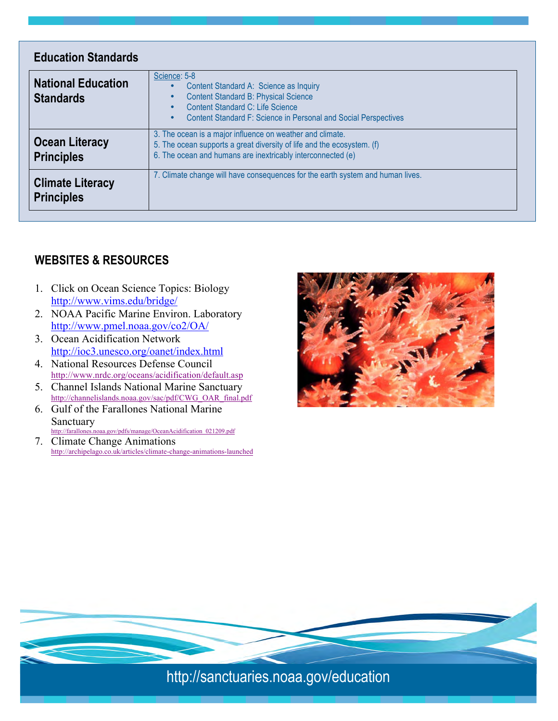| <b>Education Standards</b>                    |                                                                                                                                                                                                                                                     |
|-----------------------------------------------|-----------------------------------------------------------------------------------------------------------------------------------------------------------------------------------------------------------------------------------------------------|
| <b>National Education</b><br><b>Standards</b> | Science: 5-8<br>Content Standard A: Science as Inquiry<br><b>Content Standard B: Physical Science</b><br>$\bullet$<br>Content Standard C: Life Science<br>$\bullet$<br>Content Standard F: Science in Personal and Social Perspectives<br>$\bullet$ |
| <b>Ocean Literacy</b><br><b>Principles</b>    | 3. The ocean is a major influence on weather and climate.<br>5. The ocean supports a great diversity of life and the ecosystem. (f)<br>6. The ocean and humans are inextricably interconnected (e)                                                  |
| <b>Climate Literacy</b><br><b>Principles</b>  | 7. Climate change will have consequences for the earth system and human lives.                                                                                                                                                                      |

# **WEBSITES & RESOURCES**

- 1. Click on Ocean Science Topics: Biology http://www.vims.edu/bridge/
- 2. NOAA Pacific Marine Environ. Laboratory http://www.pmel.noaa.gov/co2/OA/
- 3. Ocean Acidification Network http://ioc3.unesco.org/oanet/index.html
- 4. National Resources Defense Council http://www.nrdc.org/oceans/acidification/default.asp
- 5. Channel Islands National Marine Sanctuary http://channelislands.noaa.gov/sac/pdf/CWG\_OAR\_final.pdf
- 6. Gulf of the Farallones National Marine Sanctuary http://farallones.noaa.gov/pdfs/manage/OceanAcidification\_021209.pdf
- 7. Climate Change Animations http://archipelago.co.uk/articles/climate-change-animations-launched